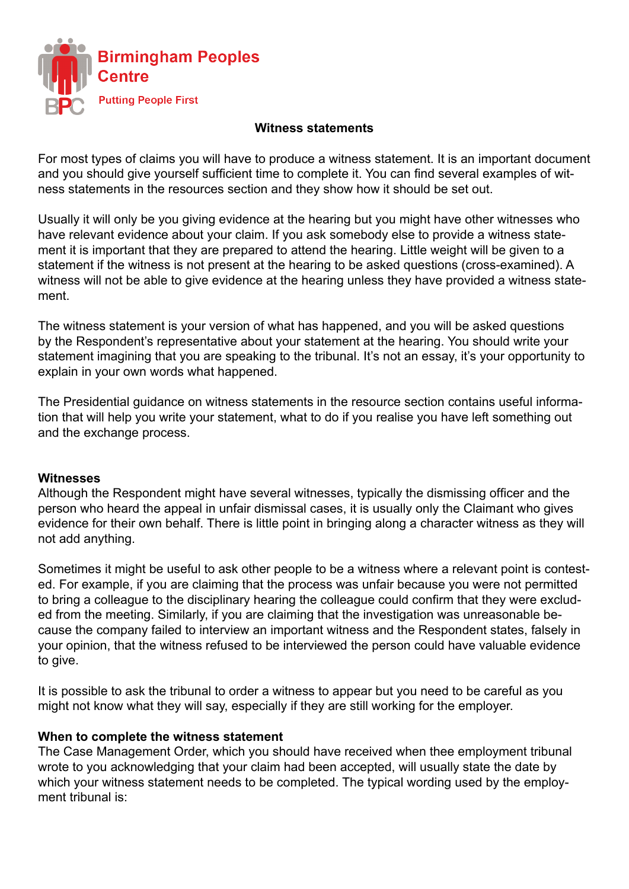

# **Witness statements**

For most types of claims you will have to produce a witness statement. It is an important document and you should give yourself sufficient time to complete it. You can find several examples of witness statements in the resources section and they show how it should be set out.

Usually it will only be you giving evidence at the hearing but you might have other witnesses who have relevant evidence about your claim. If you ask somebody else to provide a witness statement it is important that they are prepared to attend the hearing. Little weight will be given to a statement if the witness is not present at the hearing to be asked questions (cross-examined). A witness will not be able to give evidence at the hearing unless they have provided a witness statement.

The witness statement is your version of what has happened, and you will be asked questions by the Respondent's representative about your statement at the hearing. You should write your statement imagining that you are speaking to the tribunal. It's not an essay, it's your opportunity to explain in your own words what happened.

The Presidential guidance on witness statements in the resource section contains useful information that will help you write your statement, what to do if you realise you have left something out and the exchange process.

### **Witnesses**

Although the Respondent might have several witnesses, typically the dismissing officer and the person who heard the appeal in unfair dismissal cases, it is usually only the Claimant who gives evidence for their own behalf. There is little point in bringing along a character witness as they will not add anything.

Sometimes it might be useful to ask other people to be a witness where a relevant point is contested. For example, if you are claiming that the process was unfair because you were not permitted to bring a colleague to the disciplinary hearing the colleague could confirm that they were excluded from the meeting. Similarly, if you are claiming that the investigation was unreasonable because the company failed to interview an important witness and the Respondent states, falsely in your opinion, that the witness refused to be interviewed the person could have valuable evidence to give.

It is possible to ask the tribunal to order a witness to appear but you need to be careful as you might not know what they will say, especially if they are still working for the employer.

### **When to complete the witness statement**

The Case Management Order, which you should have received when thee employment tribunal wrote to you acknowledging that your claim had been accepted, will usually state the date by which your witness statement needs to be completed. The typical wording used by the employment tribunal is: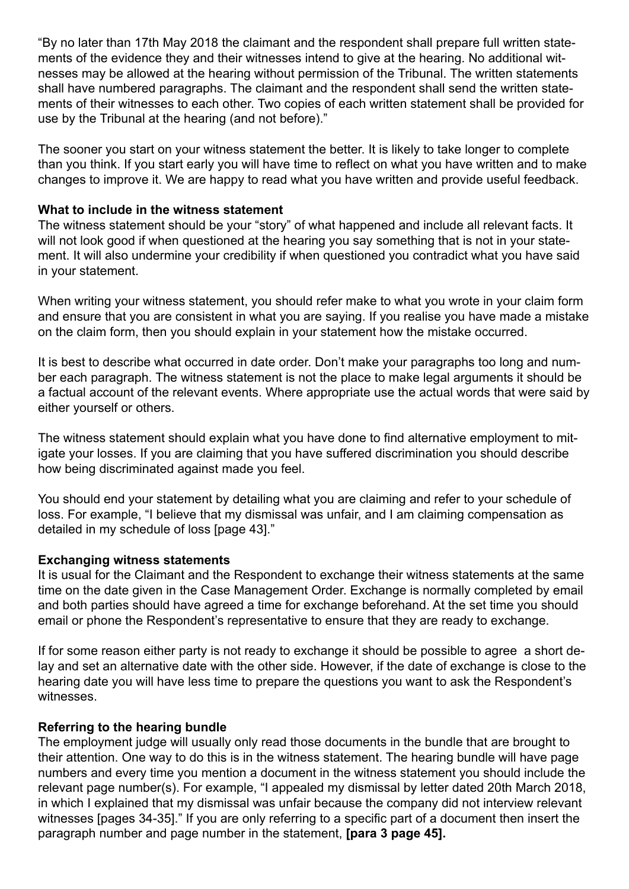"By no later than 17th May 2018 the claimant and the respondent shall prepare full written statements of the evidence they and their witnesses intend to give at the hearing. No additional witnesses may be allowed at the hearing without permission of the Tribunal. The written statements shall have numbered paragraphs. The claimant and the respondent shall send the written statements of their witnesses to each other. Two copies of each written statement shall be provided for use by the Tribunal at the hearing (and not before)."

The sooner you start on your witness statement the better. It is likely to take longer to complete than you think. If you start early you will have time to reflect on what you have written and to make changes to improve it. We are happy to read what you have written and provide useful feedback.

# **What to include in the witness statement**

The witness statement should be your "story" of what happened and include all relevant facts. It will not look good if when questioned at the hearing you say something that is not in your statement. It will also undermine your credibility if when questioned you contradict what you have said in your statement.

When writing your witness statement, you should refer make to what you wrote in your claim form and ensure that you are consistent in what you are saying. If you realise you have made a mistake on the claim form, then you should explain in your statement how the mistake occurred.

It is best to describe what occurred in date order. Don't make your paragraphs too long and number each paragraph. The witness statement is not the place to make legal arguments it should be a factual account of the relevant events. Where appropriate use the actual words that were said by either yourself or others.

The witness statement should explain what you have done to find alternative employment to mitigate your losses. If you are claiming that you have suffered discrimination you should describe how being discriminated against made you feel.

You should end your statement by detailing what you are claiming and refer to your schedule of loss. For example, "I believe that my dismissal was unfair, and I am claiming compensation as detailed in my schedule of loss [page 43]."

### **Exchanging witness statements**

It is usual for the Claimant and the Respondent to exchange their witness statements at the same time on the date given in the Case Management Order. Exchange is normally completed by email and both parties should have agreed a time for exchange beforehand. At the set time you should email or phone the Respondent's representative to ensure that they are ready to exchange.

If for some reason either party is not ready to exchange it should be possible to agree a short delay and set an alternative date with the other side. However, if the date of exchange is close to the hearing date you will have less time to prepare the questions you want to ask the Respondent's witnesses.

### **Referring to the hearing bundle**

The employment judge will usually only read those documents in the bundle that are brought to their attention. One way to do this is in the witness statement. The hearing bundle will have page numbers and every time you mention a document in the witness statement you should include the relevant page number(s). For example, "I appealed my dismissal by letter dated 20th March 2018, in which I explained that my dismissal was unfair because the company did not interview relevant witnesses [pages 34-35]." If you are only referring to a specific part of a document then insert the paragraph number and page number in the statement, **[para 3 page 45].**